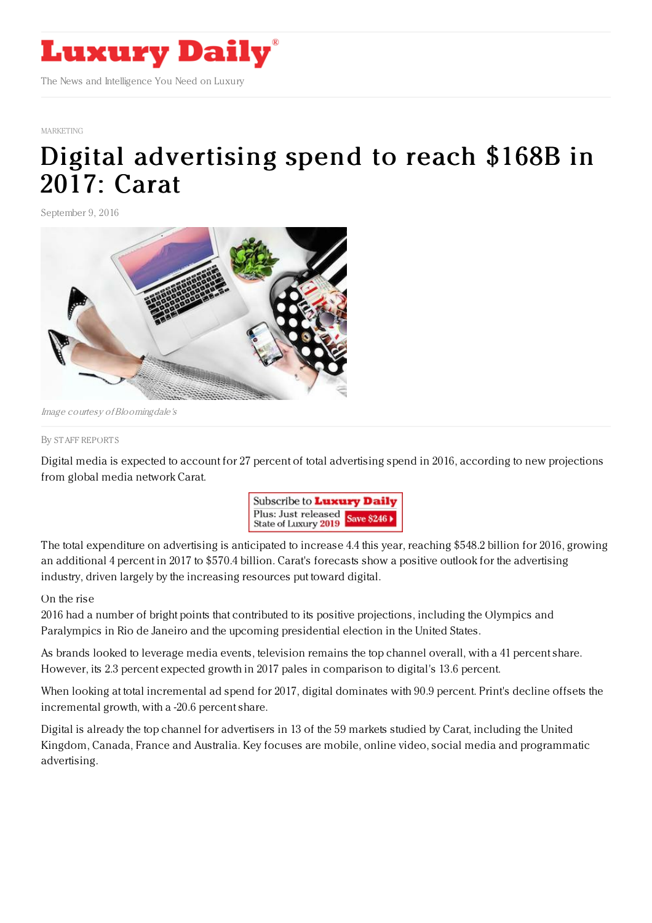

## [MARKETING](https://www.luxurydaily.com/category/sectors/marketing-industry-sectors/)

## Digital [advertising](https://www.luxurydaily.com/digital-advertising-spend-to-reach-168b-in-2017-carat/) spend to reach \$168B in 2017: Carat

September 9, 2016



Image courtesy ofBloomingdale's

## By STAFF [REPORT](file:///author/staff-reports) S

Digital media is expected to account for 27 percent of total advertising spend in 2016, according to new projections from global media network Carat.



The total expenditure on advertising is anticipated to increase 4.4 this year, reaching \$548.2 billion for 2016, growing an additional 4 percent in 2017 to \$570.4 billion. Carat's forecasts show a positive outlook for the advertising industry, driven largely by the increasing resources put toward digital.

## On the rise

2016 had a number of bright points that contributed to its positive projections, including the Olympics and Paralympics in Rio de Janeiro and the upcoming presidential election in the United States.

As brands looked to leverage media events, television remains the top channel overall, with a 41 percent share. However, its 2.3 percent expected growth in 2017 pales in comparison to digital's 13.6 percent.

When looking at total incremental ad spend for 2017, digital dominates with 90.9 percent. Print's decline offsets the incremental growth, with a -20.6 percent share.

Digital is already the top channel for advertisers in 13 of the 59 markets studied by Carat, including the United Kingdom, Canada, France and Australia. Key focuses are mobile, online video, social media and programmatic advertising.